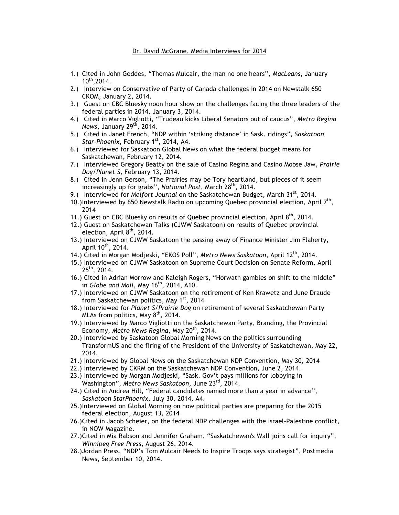## Dr. David McGrane, Media Interviews for 2014

- 1.) Cited in John Geddes, "Thomas Mulcair, the man no one hears", *MacLeans*, January  $10^{th}$ , 2014.
- 2.) Interview on Conservative of Party of Canada challenges in 2014 on Newstalk 650 CKOM, January 2, 2014.
- 3.) Guest on CBC Bluesky noon hour show on the challenges facing the three leaders of the federal parties in 2014, January 3, 2014.
- 4.) Cited in Marco Vigliotti, "Trudeau kicks Liberal Senators out of caucus", *Metro Regina News*, January 29th, 2014.
- 5.) Cited in Janet French, "NDP within 'striking distance' in Sask. ridings", *Saskatoon*  Star-Phoenix, February 1<sup>st</sup>, 2014, A4.
- 6.) Interviewed for Saskatoon Global News on what the federal budget means for Saskatchewan, February 12, 2014.
- 7.) Interviewed Gregory Beatty on the sale of Casino Regina and Casino Moose Jaw, *Prairie Dog/Planet S*, February 13, 2014.
- 8.) Cited in Jenn Gerson, "The Prairies may be Tory heartland, but pieces of it seem increasingly up for grabs", *National Post*, March 28th, 2014.
- 9.) Interviewed for *Melfort Journal* on the Saskatchewan Budget, March 31<sup>st</sup>, 2014.
- 10.)Interviewed by 650 Newstalk Radio on upcoming Quebec provincial election, April 7<sup>th</sup>, 2014
- 11.) Guest on CBC Bluesky on results of Quebec provincial election, April  $8<sup>th</sup>$ , 2014.
- 12.) Guest on Saskatchewan Talks (CJWW Saskatoon) on results of Quebec provincial election, April 8<sup>th</sup>, 2014.
- 13.) Interviewed on CJWW Saskatoon the passing away of Finance Minister Jim Flaherty, April  $10^{th}$ , 2014.
- 14.) Cited in Morgan Modjeski, "EKOS Poll", *Metro News Saskatoon*, April 12th, 2014.
- 15.) Interviewed on CJWW Saskatoon on Supreme Court Decision on Senate Reform, April  $25<sup>th</sup>$ , 2014.
- 16.) Cited in Adrian Morrow and Kaleigh Rogers, "Horwath gambles on shift to the middle" in *Globe and Mail*, May 16th, 2014, A10.
- 17.) Interviewed on CJWW Saskatoon on the retirement of Ken Krawetz and June Draude from Saskatchewan politics, May 1<sup>st</sup>, 2014
- 18.) Interviewed for *Planet S/Prairie Dog* on retirement of several Saskatchewan Party MLAs from politics, May  $8<sup>th</sup>$ , 2014.
- 19.) Interviewed by Marco Vigliotti on the Saskatchewan Party, Branding, the Provincial Economy, *Metro News Regina*, May 20th, 2014.
- 20.) Interviewed by Saskatoon Global Morning News on the politics surrounding TransformUS and the firing of the President of the University of Saskatchewan, May 22, 2014.
- 21.) Interviewed by Global News on the Saskatchewan NDP Convention, May 30, 2014
- 22.) Interviewed by CKRM on the Saskatchewan NDP Convention, June 2, 2014.
- 23.) Interviewed by Morgan Modjeski, "Sask. Gov't pays millions for lobbying in Washington", *Metro News Saskatoon*, June 23rd, 2014.
- 24.) Cited in Andrea Hill, "Federal candidates named more than a year in advance", *Saskatoon StarPhoenix*, July 30, 2014, A4.
- 25.)Interviewed on Global Morning on how political parties are preparing for the 2015 federal election, August 13, 2014
- 26.)Cited in Jacob Scheier, on the federal NDP challenges with the Israel-Palestine conflict, in NOW Magazine.
- 27.)Cited in Mia Rabson and Jennifer Graham, "Saskatchewan's Wall joins call for inquiry", *Winnipeg Free Press*, August 26, 2014.
- 28.)Jordan Press, "NDP's Tom Mulcair Needs to Inspire Troops says strategist", Postmedia News, September 10, 2014.